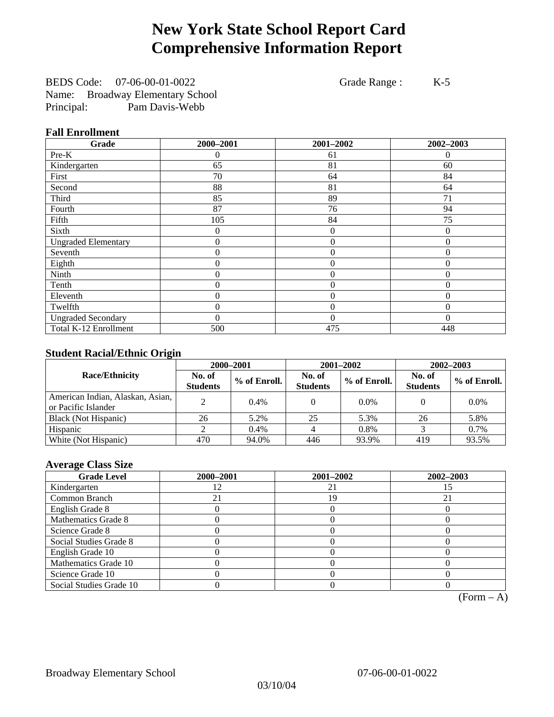# **New York State School Report Card Comprehensive Information Report**

BEDS Code: 07-06-00-01-0022 Grade Range : K-5 Name: Broadway Elementary School Principal: Pam Davis-Webb

### **Fall Enrollment**

| Grade                      | 2000-2001 | 2001-2002        | 2002-2003      |
|----------------------------|-----------|------------------|----------------|
| $Pre-K$                    | 0         | 61               | $\Omega$       |
| Kindergarten               | 65        | 81               | 60             |
| First                      | 70        | 64               | 84             |
| Second                     | 88        | 81               | 64             |
| Third                      | 85        | 89               | 71             |
| Fourth                     | 87        | 76               | 94             |
| Fifth                      | 105       | 84               | 75             |
| Sixth                      | 0         | $\overline{0}$   | $\theta$       |
| <b>Ungraded Elementary</b> | 0         | $\mathbf{0}$     | $\overline{0}$ |
| Seventh                    | 0         | $\boldsymbol{0}$ | $\overline{0}$ |
| Eighth                     | 0         | $\theta$         | $\Omega$       |
| Ninth                      | 0         | $\theta$         | $\Omega$       |
| Tenth                      | 0         | $\overline{0}$   | $\theta$       |
| Eleventh                   | 0         | $\overline{0}$   | $\theta$       |
| Twelfth                    | 0         | $\mathbf{0}$     | $\theta$       |
| <b>Ungraded Secondary</b>  | 0         | $\theta$         | $\theta$       |
| Total K-12 Enrollment      | 500       | 475              | 448            |

### **Student Racial/Ethnic Origin**

|                                                         | 2000-2001                 |              |                           | 2001-2002    | 2002-2003                 |                |
|---------------------------------------------------------|---------------------------|--------------|---------------------------|--------------|---------------------------|----------------|
| <b>Race/Ethnicity</b>                                   | No. of<br><b>Students</b> | % of Enroll. | No. of<br><b>Students</b> | % of Enroll. | No. of<br><b>Students</b> | $%$ of Enroll. |
| American Indian, Alaskan, Asian,<br>or Pacific Islander |                           | 0.4%         |                           | $0.0\%$      |                           | $0.0\%$        |
| Black (Not Hispanic)                                    | 26                        | 5.2%         | 25                        | 5.3%         | 26                        | 5.8%           |
| Hispanic                                                |                           | 0.4%         |                           | 0.8%         |                           | 0.7%           |
| White (Not Hispanic)                                    | 470                       | 94.0%        | 446                       | 93.9%        | 419                       | 93.5%          |

### **Average Class Size**

| <b>Grade Level</b>      | 2000-2001 | 2001-2002 | 2002-2003 |
|-------------------------|-----------|-----------|-----------|
| Kindergarten            |           | 21        |           |
| Common Branch           |           | 19        | 21        |
| English Grade 8         |           |           |           |
| Mathematics Grade 8     |           |           |           |
| Science Grade 8         |           |           |           |
| Social Studies Grade 8  |           |           |           |
| English Grade 10        |           |           |           |
| Mathematics Grade 10    |           |           |           |
| Science Grade 10        |           |           |           |
| Social Studies Grade 10 |           |           |           |

 $(Form - A)$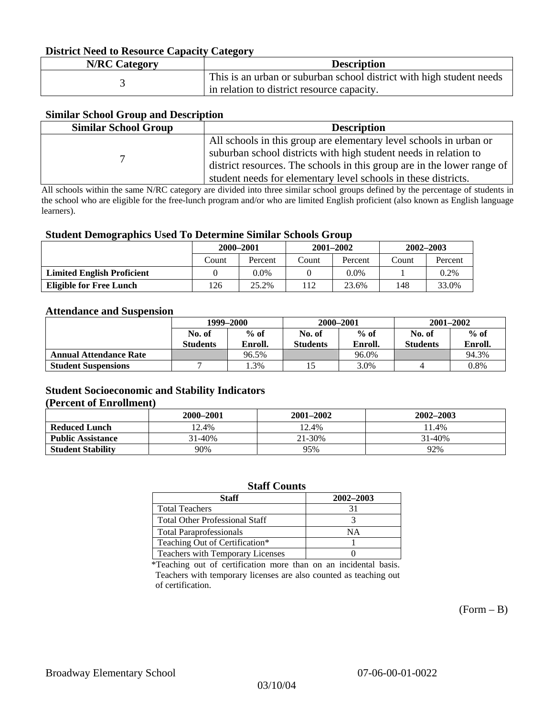### **District Need to Resource Capacity Category**

| <b>N/RC Category</b> | <b>Description</b>                                                   |
|----------------------|----------------------------------------------------------------------|
|                      | This is an urban or suburban school district with high student needs |
|                      | in relation to district resource capacity.                           |

### **Similar School Group and Description**

| <b>Similar School Group</b> | <b>Description</b>                                                      |
|-----------------------------|-------------------------------------------------------------------------|
|                             | All schools in this group are elementary level schools in urban or      |
|                             | suburban school districts with high student needs in relation to        |
|                             | district resources. The schools in this group are in the lower range of |
|                             | student needs for elementary level schools in these districts.          |

All schools within the same N/RC category are divided into three similar school groups defined by the percentage of students in the school who are eligible for the free-lunch program and/or who are limited English proficient (also known as English language learners).

#### **Student Demographics Used To Determine Similar Schools Group**

|                                   | 2000-2001 |         | $2001 - 2002$ |         | $2002 - 2003$ |         |
|-----------------------------------|-----------|---------|---------------|---------|---------------|---------|
|                                   | Count     | Percent | Count         | Percent | Count         | Percent |
| <b>Limited English Proficient</b> |           | 0.0%    |               | 0.0%    |               | 0.2%    |
| Eligible for Free Lunch           | 126       | 25.2%   | 12            | 23.6%   | 148           | 33.0%   |

#### **Attendance and Suspension**

|                               | 1999–2000<br>$%$ of<br>No. of |         | 2000-2001        |         | $2001 - 2002$   |         |
|-------------------------------|-------------------------------|---------|------------------|---------|-----------------|---------|
|                               |                               |         | $%$ of<br>No. of |         | No. of          | $%$ of  |
|                               | <b>Students</b>               | Enroll. | <b>Students</b>  | Enroll. | <b>Students</b> | Enroll. |
| <b>Annual Attendance Rate</b> |                               | 96.5%   |                  | 96.0%   |                 | 94.3%   |
| <b>Student Suspensions</b>    |                               | .3%     |                  | 3.0%    |                 | 0.8%    |

### **Student Socioeconomic and Stability Indicators (Percent of Enrollment)**

|                          | 2000–2001 | $2001 - 2002$ | 2002-2003 |
|--------------------------|-----------|---------------|-----------|
| <b>Reduced Lunch</b>     | 12.4%     | 12.4%         | 11.4%     |
| <b>Public Assistance</b> | 31-40%    | 21-30%        | 31-40%    |
| <b>Student Stability</b> | 90%       | 95%           | 92%       |

#### **Staff Counts**

| Staff                                 | 2002-2003 |
|---------------------------------------|-----------|
| <b>Total Teachers</b>                 |           |
| <b>Total Other Professional Staff</b> |           |
| <b>Total Paraprofessionals</b>        | NΑ        |
| Teaching Out of Certification*        |           |
| Teachers with Temporary Licenses      |           |

\*Teaching out of certification more than on an incidental basis. Teachers with temporary licenses are also counted as teaching out of certification.

 $(Form - B)$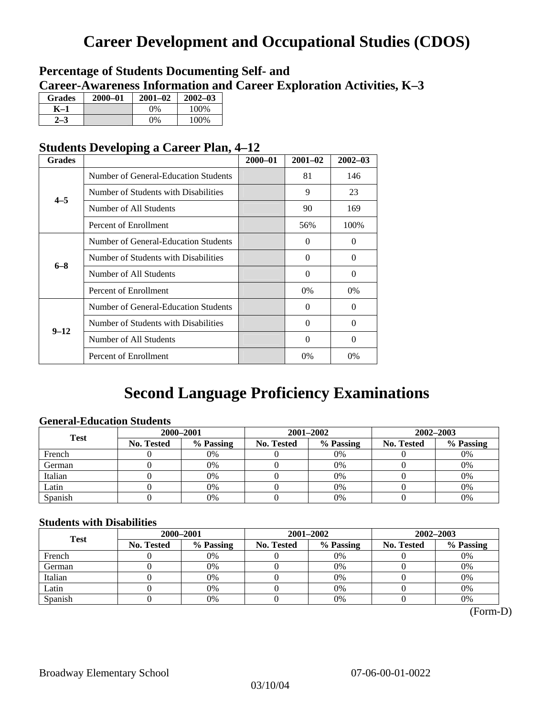# **Career Development and Occupational Studies (CDOS)**

### **Percentage of Students Documenting Self- and Career-Awareness Information and Career Exploration Activities, K–3**

| <b>Grades</b> | 2000-01 | $2001 - 02$ | $2002 - 03$ |
|---------------|---------|-------------|-------------|
| K-1           |         | $0\%$       | 100\%       |
| $7_{-}3$      |         | $0\%$       | 100%        |

### **Students Developing a Career Plan, 4–12**

| <b>Grades</b> |                                      | $2000 - 01$ | $2001 - 02$ | $2002 - 03$ |
|---------------|--------------------------------------|-------------|-------------|-------------|
|               | Number of General-Education Students |             | 81          | 146         |
| $4 - 5$       | Number of Students with Disabilities |             | 9           | 23          |
|               | Number of All Students               |             | 90          | 169         |
|               | Percent of Enrollment                |             | 56%         | 100%        |
|               | Number of General-Education Students |             | $\Omega$    | 0           |
| $6 - 8$       | Number of Students with Disabilities |             | $\Omega$    | $\Omega$    |
|               | Number of All Students               |             | $\Omega$    | $\Omega$    |
|               | Percent of Enrollment                |             | $0\%$       | $0\%$       |
|               | Number of General-Education Students |             | $\Omega$    | 0           |
| $9 - 12$      | Number of Students with Disabilities |             | $\Omega$    | 0           |
|               | Number of All Students               |             | $\Omega$    | $\theta$    |
|               | Percent of Enrollment                |             | 0%          | $0\%$       |

# **Second Language Proficiency Examinations**

### **General-Education Students**

| <b>Test</b> | 2000-2001         |           |            | 2001-2002 | $2002 - 2003$ |           |
|-------------|-------------------|-----------|------------|-----------|---------------|-----------|
|             | <b>No. Tested</b> | % Passing | No. Tested | % Passing | No. Tested    | % Passing |
| French      |                   | 0%        |            | $0\%$     |               | 0%        |
| German      |                   | 0%        |            | $0\%$     |               | 0%        |
| Italian     |                   | 0%        |            | 0%        |               | 0%        |
| Latin       |                   | 0%        |            | 0%        |               | 0%        |
| Spanish     |                   | 0%        |            | 0%        |               | 0%        |

### **Students with Disabilities**

| <b>Test</b> | 2000-2001  |           |            | 2001-2002 | 2002-2003  |           |  |
|-------------|------------|-----------|------------|-----------|------------|-----------|--|
|             | No. Tested | % Passing | No. Tested | % Passing | No. Tested | % Passing |  |
| French      |            | 0%        |            | 0%        |            | 0%        |  |
| German      |            | 0%        |            | $0\%$     |            | 0%        |  |
| Italian     |            | 0%        |            | 0%        |            | 0%        |  |
| Latin       |            | 0%        |            | 0%        |            | 0%        |  |
| Spanish     |            | 0%        |            | 0%        |            | 0%        |  |

(Form-D)